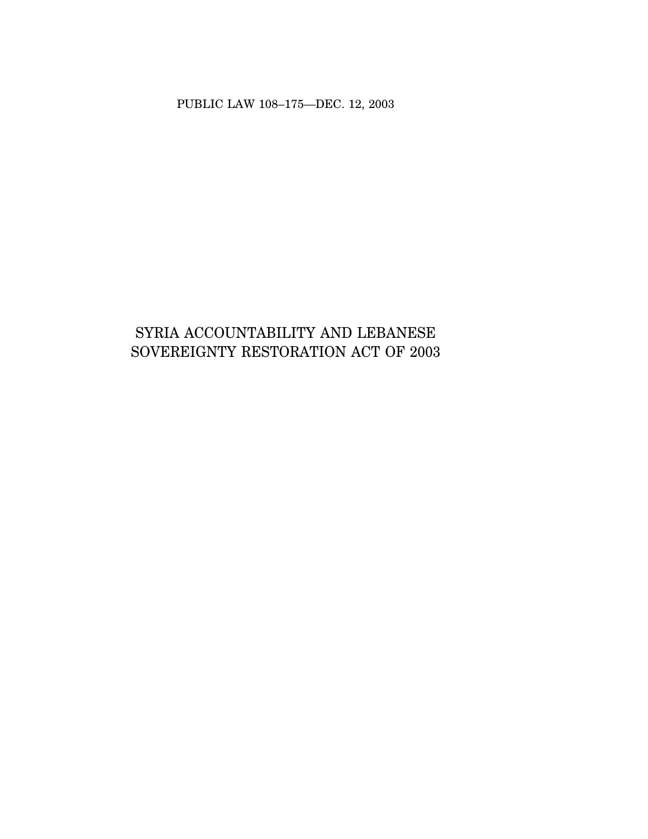PUBLIC LAW 108–175—DEC. 12, 2003

# SYRIA ACCOUNTABILITY AND LEBANESE SOVEREIGNTY RESTORATION ACT OF 2003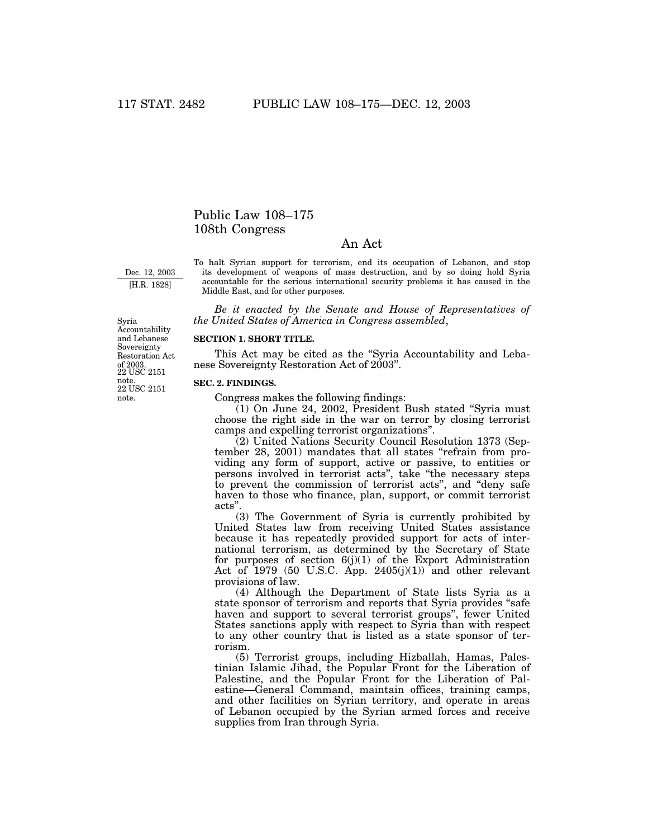# Public Law 108–175 108th Congress

# An Act

Dec. 12, 2003 [H.R. 1828]

To halt Syrian support for terrorism, end its occupation of Lebanon, and stop its development of weapons of mass destruction, and by so doing hold Syria accountable for the serious international security problems it has caused in the Middle East, and for other purposes.

*Be it enacted by the Senate and House of Representatives of the United States of America in Congress assembled*,

#### **SECTION 1. SHORT TITLE.**

This Act may be cited as the ''Syria Accountability and Lebanese Sovereignty Restoration Act of 2003''.

#### **SEC. 2. FINDINGS.**

Congress makes the following findings:

 $(1)$  On June 24, 2002, President Bush stated "Syria must" choose the right side in the war on terror by closing terrorist camps and expelling terrorist organizations''.

(2) United Nations Security Council Resolution 1373 (September 28, 2001) mandates that all states "refrain from providing any form of support, active or passive, to entities or persons involved in terrorist acts'', take ''the necessary steps to prevent the commission of terrorist acts'', and ''deny safe haven to those who finance, plan, support, or commit terrorist acts''.

(3) The Government of Syria is currently prohibited by United States law from receiving United States assistance because it has repeatedly provided support for acts of international terrorism, as determined by the Secretary of State for purposes of section 6(j)(1) of the Export Administration Act of  $1979$  (50 U.S.C. App. 2405 $(j)(1)$ ) and other relevant provisions of law.

(4) Although the Department of State lists Syria as a state sponsor of terrorism and reports that Syria provides ''safe haven and support to several terrorist groups", fewer United States sanctions apply with respect to Syria than with respect to any other country that is listed as a state sponsor of terrorism.

(5) Terrorist groups, including Hizballah, Hamas, Palestinian Islamic Jihad, the Popular Front for the Liberation of Palestine, and the Popular Front for the Liberation of Palestine—General Command, maintain offices, training camps, and other facilities on Syrian territory, and operate in areas of Lebanon occupied by the Syrian armed forces and receive supplies from Iran through Syria.

22 USC 2151 note. note. of 2003.<br>22 USC 2151 Syria Accountability and Lebanese Sovereignty Restoration Act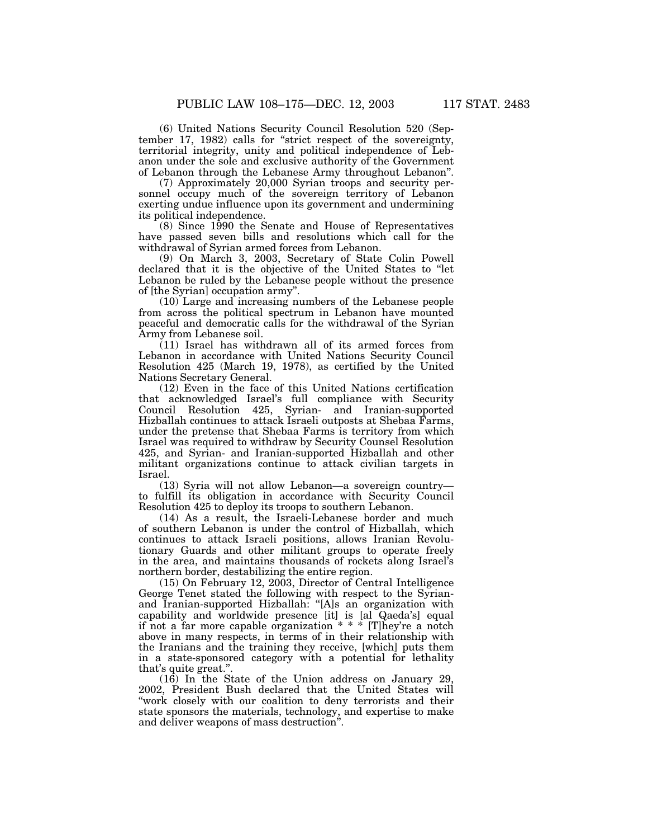(6) United Nations Security Council Resolution 520 (September 17, 1982) calls for ''strict respect of the sovereignty, territorial integrity, unity and political independence of Lebanon under the sole and exclusive authority of the Government of Lebanon through the Lebanese Army throughout Lebanon''.

(7) Approximately 20,000 Syrian troops and security personnel occupy much of the sovereign territory of Lebanon exerting undue influence upon its government and undermining its political independence.

(8) Since 1990 the Senate and House of Representatives have passed seven bills and resolutions which call for the withdrawal of Syrian armed forces from Lebanon.

(9) On March 3, 2003, Secretary of State Colin Powell declared that it is the objective of the United States to ''let Lebanon be ruled by the Lebanese people without the presence of [the Syrian] occupation army''.

(10) Large and increasing numbers of the Lebanese people from across the political spectrum in Lebanon have mounted peaceful and democratic calls for the withdrawal of the Syrian Army from Lebanese soil.

(11) Israel has withdrawn all of its armed forces from Lebanon in accordance with United Nations Security Council Resolution 425 (March 19, 1978), as certified by the United Nations Secretary General.

(12) Even in the face of this United Nations certification that acknowledged Israel's full compliance with Security Council Resolution 425, Syrian- and Iranian-supported Hizballah continues to attack Israeli outposts at Shebaa Farms, under the pretense that Shebaa Farms is territory from which Israel was required to withdraw by Security Counsel Resolution 425, and Syrian- and Iranian-supported Hizballah and other militant organizations continue to attack civilian targets in Israel.

(13) Syria will not allow Lebanon—a sovereign country to fulfill its obligation in accordance with Security Council Resolution 425 to deploy its troops to southern Lebanon.

(14) As a result, the Israeli-Lebanese border and much of southern Lebanon is under the control of Hizballah, which continues to attack Israeli positions, allows Iranian Revolutionary Guards and other militant groups to operate freely in the area, and maintains thousands of rockets along Israel's northern border, destabilizing the entire region.

(15) On February 12, 2003, Director of Central Intelligence George Tenet stated the following with respect to the Syrianand Iranian-supported Hizballah: ''[A]s an organization with capability and worldwide presence [it] is [al Qaeda's] equal if not a far more capable organization \* \* \* [T]hey're a notch above in many respects, in terms of in their relationship with the Iranians and the training they receive, [which] puts them in a state-sponsored category with a potential for lethality that's quite great.''.

(16) In the State of the Union address on January 29, 2002, President Bush declared that the United States will "work closely with our coalition to deny terrorists and their state sponsors the materials, technology, and expertise to make and deliver weapons of mass destruction''.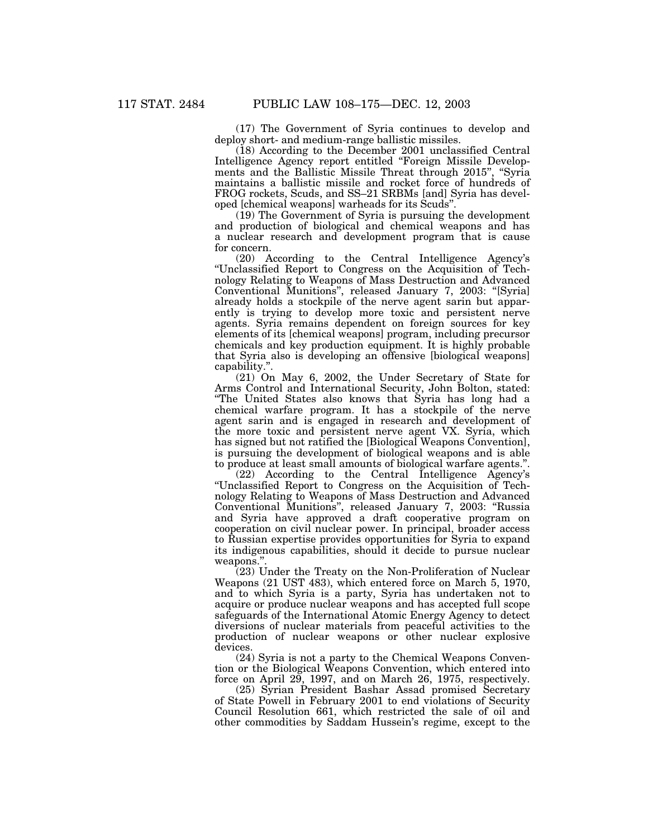(17) The Government of Syria continues to develop and deploy short- and medium-range ballistic missiles.

(18) According to the December 2001 unclassified Central Intelligence Agency report entitled ''Foreign Missile Developments and the Ballistic Missile Threat through 2015", "Syria maintains a ballistic missile and rocket force of hundreds of FROG rockets, Scuds, and SS–21 SRBMs [and] Syria has developed [chemical weapons] warheads for its Scuds''.

(19) The Government of Syria is pursuing the development and production of biological and chemical weapons and has a nuclear research and development program that is cause for concern.

(20) According to the Central Intelligence Agency's ''Unclassified Report to Congress on the Acquisition of Technology Relating to Weapons of Mass Destruction and Advanced Conventional Munitions'', released January 7, 2003: ''[Syria] already holds a stockpile of the nerve agent sarin but apparently is trying to develop more toxic and persistent nerve agents. Syria remains dependent on foreign sources for key elements of its [chemical weapons] program, including precursor chemicals and key production equipment. It is highly probable that Syria also is developing an offensive [biological weapons] capability.''.

(21) On May 6, 2002, the Under Secretary of State for Arms Control and International Security, John Bolton, stated: ''The United States also knows that Syria has long had a chemical warfare program. It has a stockpile of the nerve agent sarin and is engaged in research and development of the more toxic and persistent nerve agent VX. Syria, which has signed but not ratified the [Biological Weapons Convention], is pursuing the development of biological weapons and is able to produce at least small amounts of biological warfare agents.''.

(22) According to the Central Intelligence Agency's ''Unclassified Report to Congress on the Acquisition of Technology Relating to Weapons of Mass Destruction and Advanced Conventional Munitions'', released January 7, 2003: ''Russia and Syria have approved a draft cooperative program on cooperation on civil nuclear power. In principal, broader access to Russian expertise provides opportunities for Syria to expand its indigenous capabilities, should it decide to pursue nuclear weapons."

(23) Under the Treaty on the Non-Proliferation of Nuclear Weapons (21 UST 483), which entered force on March 5, 1970, and to which Syria is a party, Syria has undertaken not to acquire or produce nuclear weapons and has accepted full scope safeguards of the International Atomic Energy Agency to detect diversions of nuclear materials from peaceful activities to the production of nuclear weapons or other nuclear explosive devices.

(24) Syria is not a party to the Chemical Weapons Convention or the Biological Weapons Convention, which entered into force on April 29, 1997, and on March 26, 1975, respectively.

(25) Syrian President Bashar Assad promised Secretary of State Powell in February 2001 to end violations of Security Council Resolution 661, which restricted the sale of oil and other commodities by Saddam Hussein's regime, except to the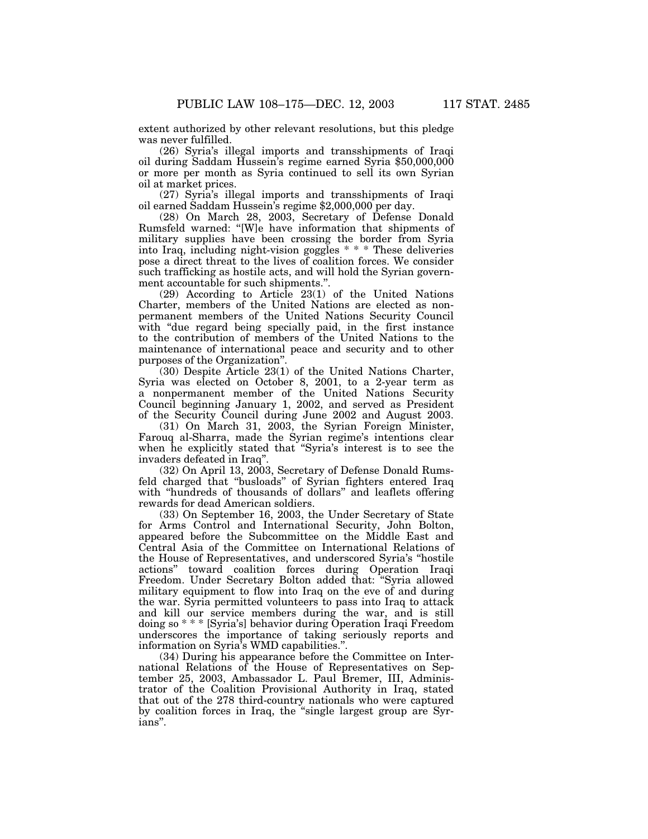extent authorized by other relevant resolutions, but this pledge was never fulfilled.

(26) Syria's illegal imports and transshipments of Iraqi oil during Saddam Hussein's regime earned Syria \$50,000,000 or more per month as Syria continued to sell its own Syrian oil at market prices.

(27) Syria's illegal imports and transshipments of Iraqi oil earned Saddam Hussein's regime \$2,000,000 per day.

(28) On March 28, 2003, Secretary of Defense Donald Rumsfeld warned: ''[W]e have information that shipments of military supplies have been crossing the border from Syria into Iraq, including night-vision goggles \* \* \* These deliveries pose a direct threat to the lives of coalition forces. We consider such trafficking as hostile acts, and will hold the Syrian government accountable for such shipments.''.

(29) According to Article 23(1) of the United Nations Charter, members of the United Nations are elected as nonpermanent members of the United Nations Security Council with "due regard being specially paid, in the first instance to the contribution of members of the United Nations to the maintenance of international peace and security and to other purposes of the Organization''.

(30) Despite Article 23(1) of the United Nations Charter, Syria was elected on October 8, 2001, to a 2-year term as a nonpermanent member of the United Nations Security Council beginning January 1, 2002, and served as President of the Security Council during June 2002 and August 2003.

(31) On March 31, 2003, the Syrian Foreign Minister, Farouq al-Sharra, made the Syrian regime's intentions clear when he explicitly stated that ''Syria's interest is to see the invaders defeated in Iraq''.

(32) On April 13, 2003, Secretary of Defense Donald Rumsfeld charged that ''busloads'' of Syrian fighters entered Iraq with ''hundreds of thousands of dollars'' and leaflets offering rewards for dead American soldiers.

(33) On September 16, 2003, the Under Secretary of State for Arms Control and International Security, John Bolton, appeared before the Subcommittee on the Middle East and Central Asia of the Committee on International Relations of the House of Representatives, and underscored Syria's ''hostile actions'' toward coalition forces during Operation Iraqi Freedom. Under Secretary Bolton added that: ''Syria allowed military equipment to flow into Iraq on the eve of and during the war. Syria permitted volunteers to pass into Iraq to attack and kill our service members during the war, and is still doing so \* \* \* [Syria's] behavior during Operation Iraqi Freedom underscores the importance of taking seriously reports and information on Syria's WMD capabilities.''.

(34) During his appearance before the Committee on International Relations of the House of Representatives on September 25, 2003, Ambassador L. Paul Bremer, III, Administrator of the Coalition Provisional Authority in Iraq, stated that out of the 278 third-country nationals who were captured by coalition forces in Iraq, the ''single largest group are Syrians''.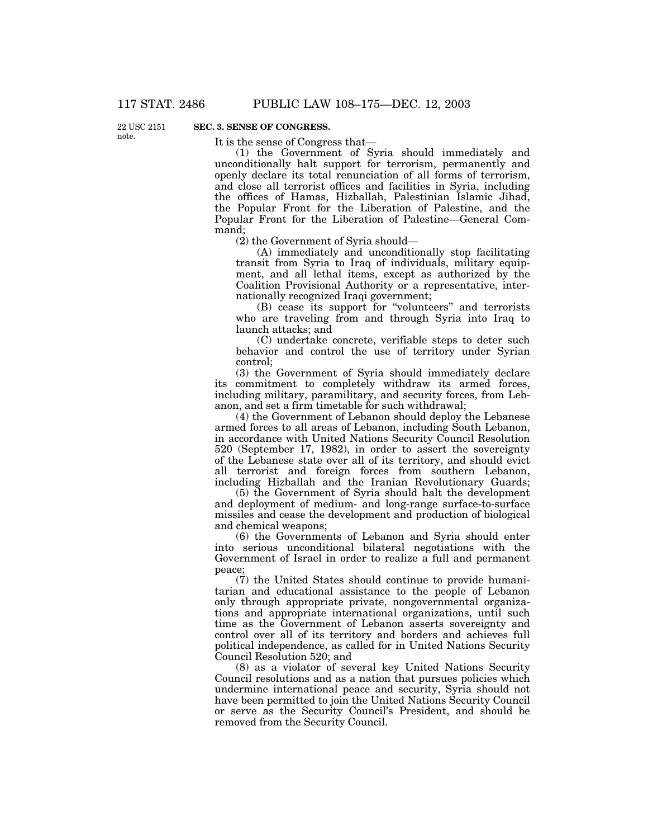22 USC 2151 note.

### **SEC. 3. SENSE OF CONGRESS.**

It is the sense of Congress that—

(1) the Government of Syria should immediately and unconditionally halt support for terrorism, permanently and openly declare its total renunciation of all forms of terrorism, and close all terrorist offices and facilities in Syria, including the offices of Hamas, Hizballah, Palestinian Islamic Jihad, the Popular Front for the Liberation of Palestine, and the Popular Front for the Liberation of Palestine—General Command;

(2) the Government of Syria should—

(A) immediately and unconditionally stop facilitating transit from Syria to Iraq of individuals, military equipment, and all lethal items, except as authorized by the Coalition Provisional Authority or a representative, internationally recognized Iraqi government;

(B) cease its support for ''volunteers'' and terrorists who are traveling from and through Syria into Iraq to launch attacks; and

(C) undertake concrete, verifiable steps to deter such behavior and control the use of territory under Syrian control;

(3) the Government of Syria should immediately declare its commitment to completely withdraw its armed forces, including military, paramilitary, and security forces, from Lebanon, and set a firm timetable for such withdrawal;

(4) the Government of Lebanon should deploy the Lebanese armed forces to all areas of Lebanon, including South Lebanon, in accordance with United Nations Security Council Resolution 520 (September 17, 1982), in order to assert the sovereignty of the Lebanese state over all of its territory, and should evict all terrorist and foreign forces from southern Lebanon, including Hizballah and the Iranian Revolutionary Guards;

(5) the Government of Syria should halt the development and deployment of medium- and long-range surface-to-surface missiles and cease the development and production of biological and chemical weapons;

(6) the Governments of Lebanon and Syria should enter into serious unconditional bilateral negotiations with the Government of Israel in order to realize a full and permanent peace;

(7) the United States should continue to provide humanitarian and educational assistance to the people of Lebanon only through appropriate private, nongovernmental organizations and appropriate international organizations, until such time as the Government of Lebanon asserts sovereignty and control over all of its territory and borders and achieves full political independence, as called for in United Nations Security Council Resolution 520; and

(8) as a violator of several key United Nations Security Council resolutions and as a nation that pursues policies which undermine international peace and security, Syria should not have been permitted to join the United Nations Security Council or serve as the Security Council's President, and should be removed from the Security Council.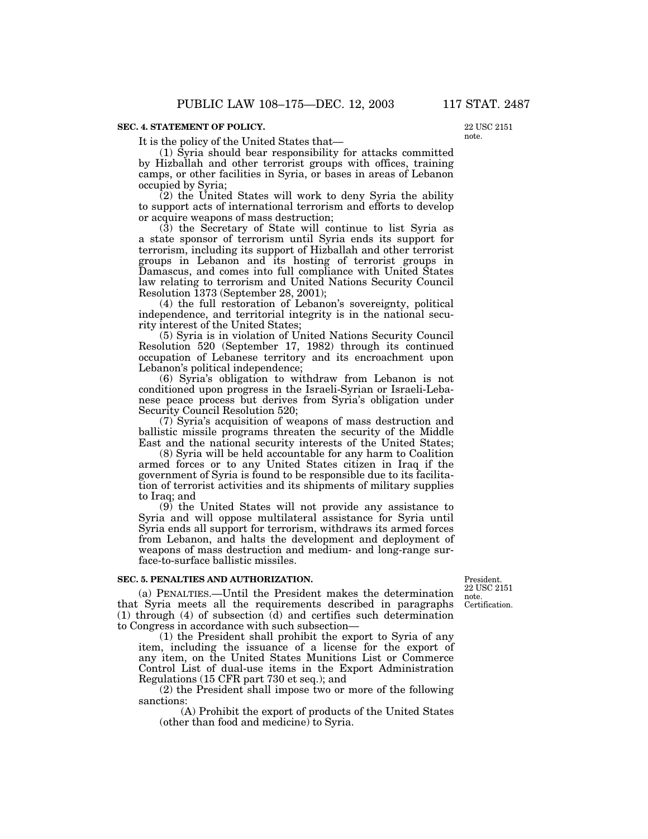#### **SEC. 4. STATEMENT OF POLICY.**

It is the policy of the United States that—

22 USC 2151 note.

(1) Syria should bear responsibility for attacks committed by Hizballah and other terrorist groups with offices, training camps, or other facilities in Syria, or bases in areas of Lebanon occupied by Syria;

(2) the United States will work to deny Syria the ability to support acts of international terrorism and efforts to develop or acquire weapons of mass destruction;

(3) the Secretary of State will continue to list Syria as a state sponsor of terrorism until Syria ends its support for terrorism, including its support of Hizballah and other terrorist groups in Lebanon and its hosting of terrorist groups in Damascus, and comes into full compliance with United States law relating to terrorism and United Nations Security Council Resolution 1373 (September 28, 2001);

(4) the full restoration of Lebanon's sovereignty, political independence, and territorial integrity is in the national security interest of the United States;

(5) Syria is in violation of United Nations Security Council Resolution 520 (September 17, 1982) through its continued occupation of Lebanese territory and its encroachment upon Lebanon's political independence;

(6) Syria's obligation to withdraw from Lebanon is not conditioned upon progress in the Israeli-Syrian or Israeli-Lebanese peace process but derives from Syria's obligation under Security Council Resolution 520;

(7) Syria's acquisition of weapons of mass destruction and ballistic missile programs threaten the security of the Middle East and the national security interests of the United States;

(8) Syria will be held accountable for any harm to Coalition armed forces or to any United States citizen in Iraq if the government of Syria is found to be responsible due to its facilitation of terrorist activities and its shipments of military supplies to Iraq; and

(9) the United States will not provide any assistance to Syria and will oppose multilateral assistance for Syria until Syria ends all support for terrorism, withdraws its armed forces from Lebanon, and halts the development and deployment of weapons of mass destruction and medium- and long-range surface-to-surface ballistic missiles.

#### **SEC. 5. PENALTIES AND AUTHORIZATION.**

Certification. President. 22 USC 2151 note.

(a) PENALTIES.—Until the President makes the determination that Syria meets all the requirements described in paragraphs (1) through (4) of subsection (d) and certifies such determination to Congress in accordance with such subsection—

(1) the President shall prohibit the export to Syria of any item, including the issuance of a license for the export of any item, on the United States Munitions List or Commerce Control List of dual-use items in the Export Administration Regulations (15 CFR part 730 et seq.); and

(2) the President shall impose two or more of the following sanctions:

(A) Prohibit the export of products of the United States (other than food and medicine) to Syria.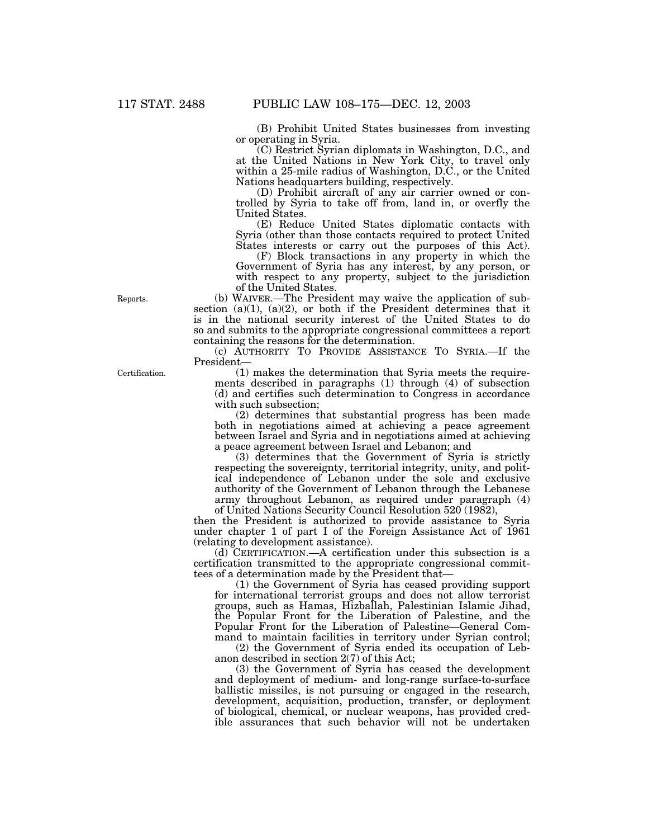(B) Prohibit United States businesses from investing or operating in Syria.

(C) Restrict Syrian diplomats in Washington, D.C., and at the United Nations in New York City, to travel only within a 25-mile radius of Washington, D.C., or the United Nations headquarters building, respectively.

(D) Prohibit aircraft of any air carrier owned or controlled by Syria to take off from, land in, or overfly the United States.

(E) Reduce United States diplomatic contacts with Syria (other than those contacts required to protect United States interests or carry out the purposes of this Act).

(F) Block transactions in any property in which the Government of Syria has any interest, by any person, or with respect to any property, subject to the jurisdiction of the United States.

(b) WAIVER.—The President may waive the application of subsection  $(a)(1)$ ,  $(a)(2)$ , or both if the President determines that it is in the national security interest of the United States to do so and submits to the appropriate congressional committees a report containing the reasons for the determination.

(c) AUTHORITY TO PROVIDE ASSISTANCE TO SYRIA.—If the President—

(1) makes the determination that Syria meets the requirements described in paragraphs (1) through (4) of subsection (d) and certifies such determination to Congress in accordance with such subsection;

(2) determines that substantial progress has been made both in negotiations aimed at achieving a peace agreement between Israel and Syria and in negotiations aimed at achieving a peace agreement between Israel and Lebanon; and

(3) determines that the Government of Syria is strictly respecting the sovereignty, territorial integrity, unity, and political independence of Lebanon under the sole and exclusive authority of the Government of Lebanon through the Lebanese army throughout Lebanon, as required under paragraph (4) of United Nations Security Council Resolution 520 (1982),

then the President is authorized to provide assistance to Syria under chapter 1 of part I of the Foreign Assistance Act of 1961 (relating to development assistance).

(d) CERTIFICATION.—A certification under this subsection is a certification transmitted to the appropriate congressional committees of a determination made by the President that—

(1) the Government of Syria has ceased providing support for international terrorist groups and does not allow terrorist groups, such as Hamas, Hizballah, Palestinian Islamic Jihad, the Popular Front for the Liberation of Palestine, and the Popular Front for the Liberation of Palestine—General Command to maintain facilities in territory under Syrian control;

(2) the Government of Syria ended its occupation of Lebanon described in section 2(7) of this Act;

(3) the Government of Syria has ceased the development and deployment of medium- and long-range surface-to-surface ballistic missiles, is not pursuing or engaged in the research, development, acquisition, production, transfer, or deployment of biological, chemical, or nuclear weapons, has provided credible assurances that such behavior will not be undertaken

Certification.

Reports.